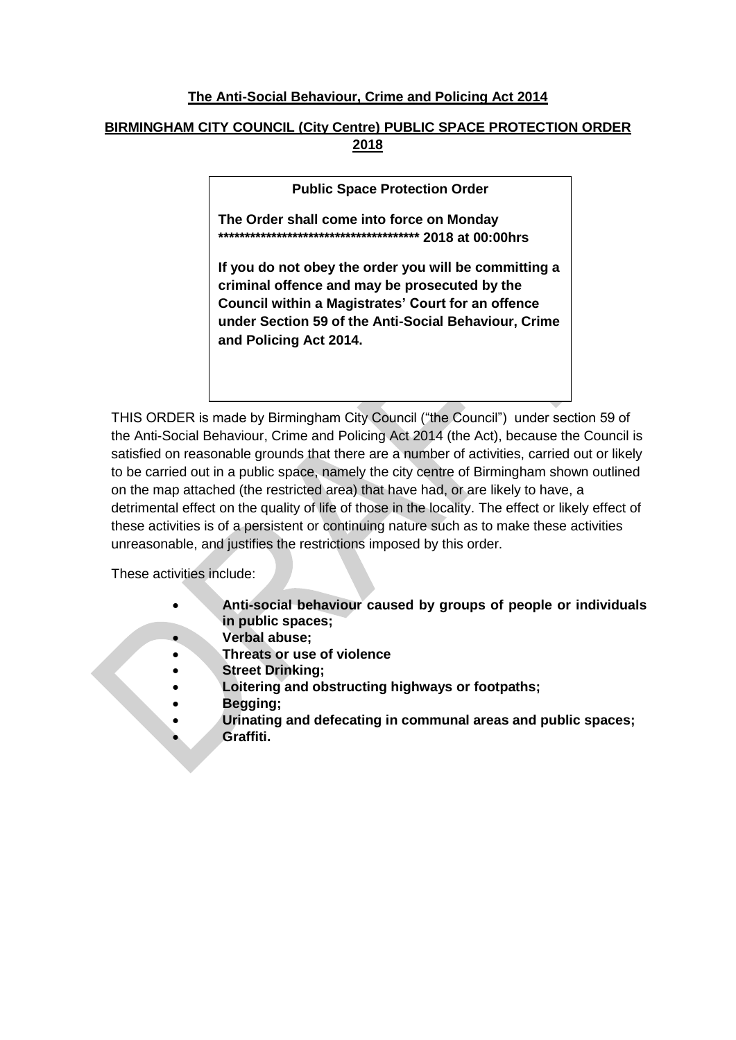## **The Anti-Social Behaviour, Crime and Policing Act 2014**

# **BIRMINGHAM CITY COUNCIL (City Centre) PUBLIC SPACE PROTECTION ORDER 2018**

**Public Space Protection Order**

**The Order shall come into force on Monday \*\*\*\*\*\*\*\*\*\*\*\*\*\*\*\*\*\*\*\*\*\*\*\*\*\*\*\*\*\*\*\*\*\*\*\*\*\* 2018 at 00:00hrs** 

**If you do not obey the order you will be committing a criminal offence and may be prosecuted by the Council within a Magistrates' Court for an offence under Section 59 of the Anti-Social Behaviour, Crime and Policing Act 2014.**

THIS ORDER is made by Birmingham City Council ("the Council") under section 59 of the Anti-Social Behaviour, Crime and Policing Act 2014 (the Act), because the Council is satisfied on reasonable grounds that there are a number of activities, carried out or likely to be carried out in a public space, namely the city centre of Birmingham shown outlined on the map attached (the restricted area) that have had, or are likely to have, a detrimental effect on the quality of life of those in the locality. The effect or likely effect of these activities is of a persistent or continuing nature such as to make these activities unreasonable, and justifies the restrictions imposed by this order.

These activities include:

- **Anti-social behaviour caused by groups of people or individuals in public spaces;**
	- **Verbal abuse;**
- **Threats or use of violence**
- **Street Drinking;**
	- **Loitering and obstructing highways or footpaths;**
- **Begging;**
	- **Urinating and defecating in communal areas and public spaces; Graffiti.**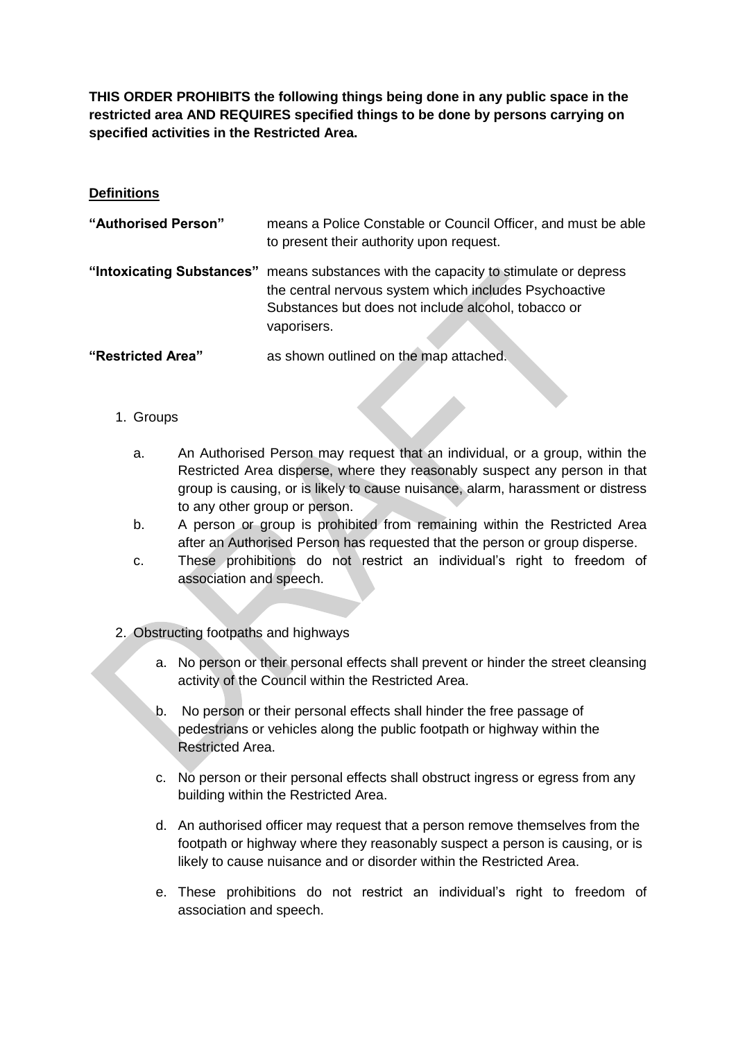**THIS ORDER PROHIBITS the following things being done in any public space in the restricted area AND REQUIRES specified things to be done by persons carrying on specified activities in the Restricted Area.**

## **Definitions**

| "Authorised Person" | means a Police Constable or Council Officer, and must be able<br>to present their authority upon request.                                                                                                            |
|---------------------|----------------------------------------------------------------------------------------------------------------------------------------------------------------------------------------------------------------------|
|                     | "Intoxicating Substances" means substances with the capacity to stimulate or depress<br>the central nervous system which includes Psychoactive<br>Substances but does not include alcohol, tobacco or<br>vaporisers. |
| "Restricted Area"   | as shown outlined on the map attached.                                                                                                                                                                               |

- 1. Groups
	- a. An Authorised Person may request that an individual, or a group, within the Restricted Area disperse, where they reasonably suspect any person in that group is causing, or is likely to cause nuisance, alarm, harassment or distress to any other group or person.
	- b. A person or group is prohibited from remaining within the Restricted Area after an Authorised Person has requested that the person or group disperse.
	- c. These prohibitions do not restrict an individual's right to freedom of association and speech.
- 2. Obstructing footpaths and highways
	- a. No person or their personal effects shall prevent or hinder the street cleansing activity of the Council within the Restricted Area.
	- b. No person or their personal effects shall hinder the free passage of pedestrians or vehicles along the public footpath or highway within the Restricted Area.
	- c. No person or their personal effects shall obstruct ingress or egress from any building within the Restricted Area.
	- d. An authorised officer may request that a person remove themselves from the footpath or highway where they reasonably suspect a person is causing, or is likely to cause nuisance and or disorder within the Restricted Area.
	- e. These prohibitions do not restrict an individual's right to freedom of association and speech.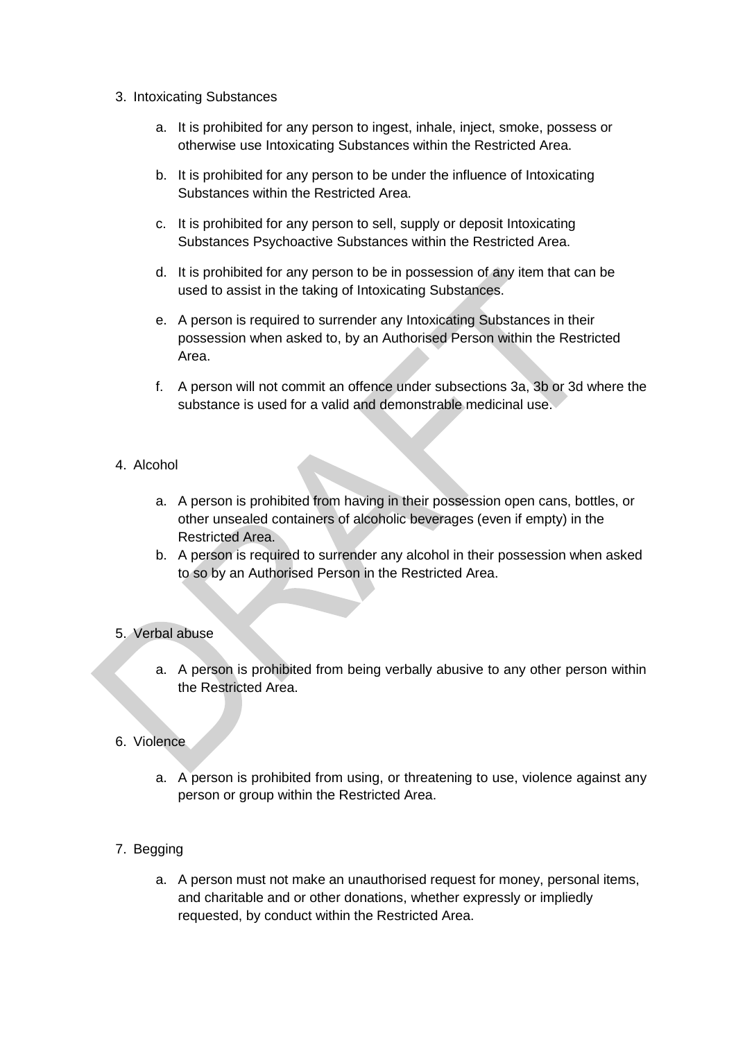- 3. Intoxicating Substances
	- a. It is prohibited for any person to ingest, inhale, inject, smoke, possess or otherwise use Intoxicating Substances within the Restricted Area.
	- b. It is prohibited for any person to be under the influence of Intoxicating Substances within the Restricted Area.
	- c. It is prohibited for any person to sell, supply or deposit Intoxicating Substances Psychoactive Substances within the Restricted Area.
	- d. It is prohibited for any person to be in possession of any item that can be used to assist in the taking of Intoxicating Substances.
	- e. A person is required to surrender any Intoxicating Substances in their possession when asked to, by an Authorised Person within the Restricted Area.
	- f. A person will not commit an offence under subsections 3a, 3b or 3d where the substance is used for a valid and demonstrable medicinal use.

## 4. Alcohol

- a. A person is prohibited from having in their possession open cans, bottles, or other unsealed containers of alcoholic beverages (even if empty) in the Restricted Area.
- b. A person is required to surrender any alcohol in their possession when asked to so by an Authorised Person in the Restricted Area.

## 5. Verbal abuse

a. A person is prohibited from being verbally abusive to any other person within the Restricted Area.

#### 6. Violence

- a. A person is prohibited from using, or threatening to use, violence against any person or group within the Restricted Area.
- 7. Begging
	- a. A person must not make an unauthorised request for money, personal items, and charitable and or other donations, whether expressly or impliedly requested, by conduct within the Restricted Area.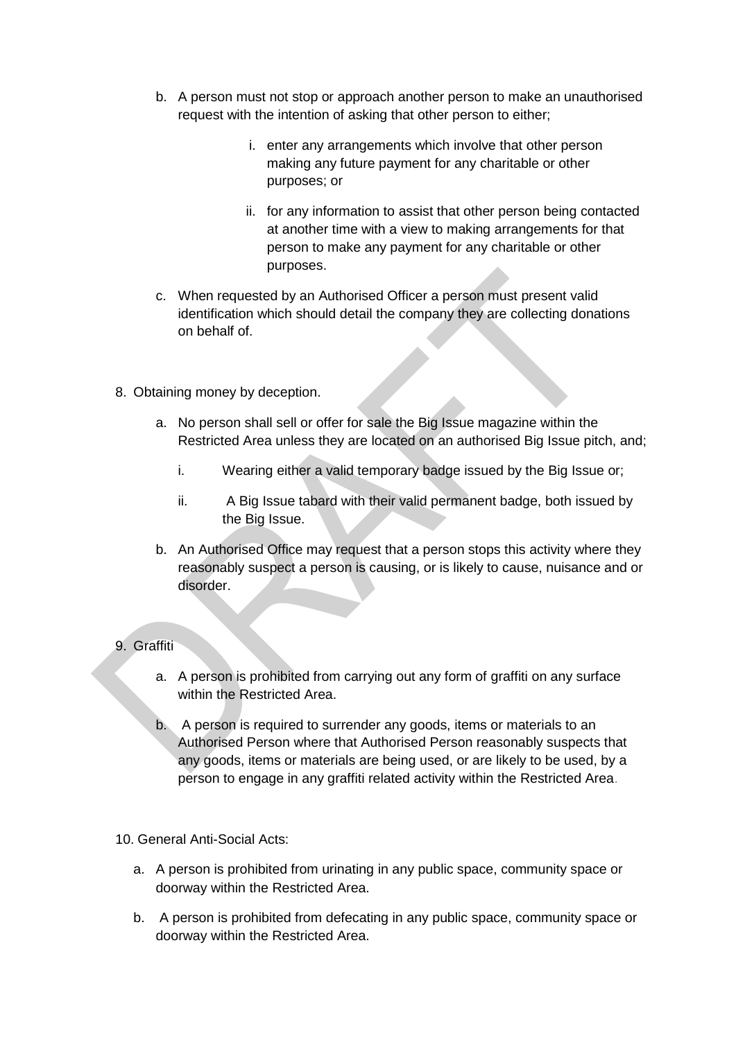- b. A person must not stop or approach another person to make an unauthorised request with the intention of asking that other person to either;
	- i. enter any arrangements which involve that other person making any future payment for any charitable or other purposes; or
	- ii. for any information to assist that other person being contacted at another time with a view to making arrangements for that person to make any payment for any charitable or other purposes.
- c. When requested by an Authorised Officer a person must present valid identification which should detail the company they are collecting donations on behalf of.
- 8. Obtaining money by deception.
	- a. No person shall sell or offer for sale the Big Issue magazine within the Restricted Area unless they are located on an authorised Big Issue pitch, and;
		- i. Wearing either a valid temporary badge issued by the Big Issue or;
		- ii. A Big Issue tabard with their valid permanent badge, both issued by the Big Issue.
	- b. An Authorised Office may request that a person stops this activity where they reasonably suspect a person is causing, or is likely to cause, nuisance and or disorder.

## 9. Graffiti

- a. A person is prohibited from carrying out any form of graffiti on any surface within the Restricted Area.
- b. A person is required to surrender any goods, items or materials to an Authorised Person where that Authorised Person reasonably suspects that any goods, items or materials are being used, or are likely to be used, by a person to engage in any graffiti related activity within the Restricted Area.
- 10. General Anti-Social Acts:
	- a. A person is prohibited from urinating in any public space, community space or doorway within the Restricted Area.
	- b. A person is prohibited from defecating in any public space, community space or doorway within the Restricted Area.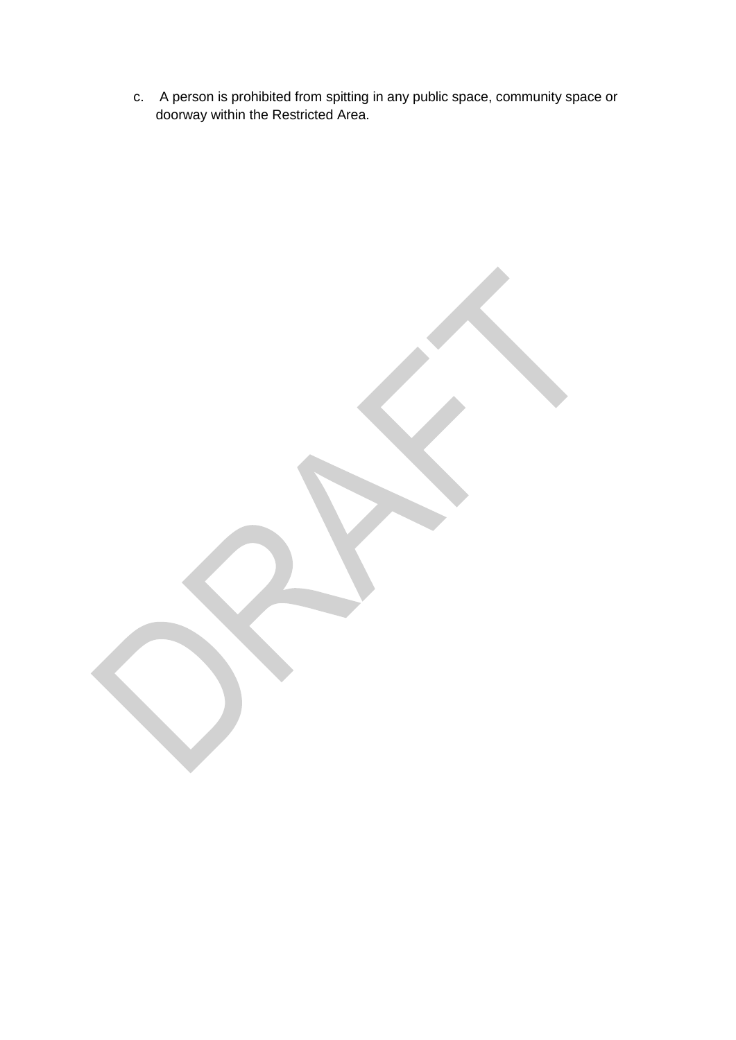c. A person is prohibited from spitting in any public space, community space or doorway within the Restricted Area.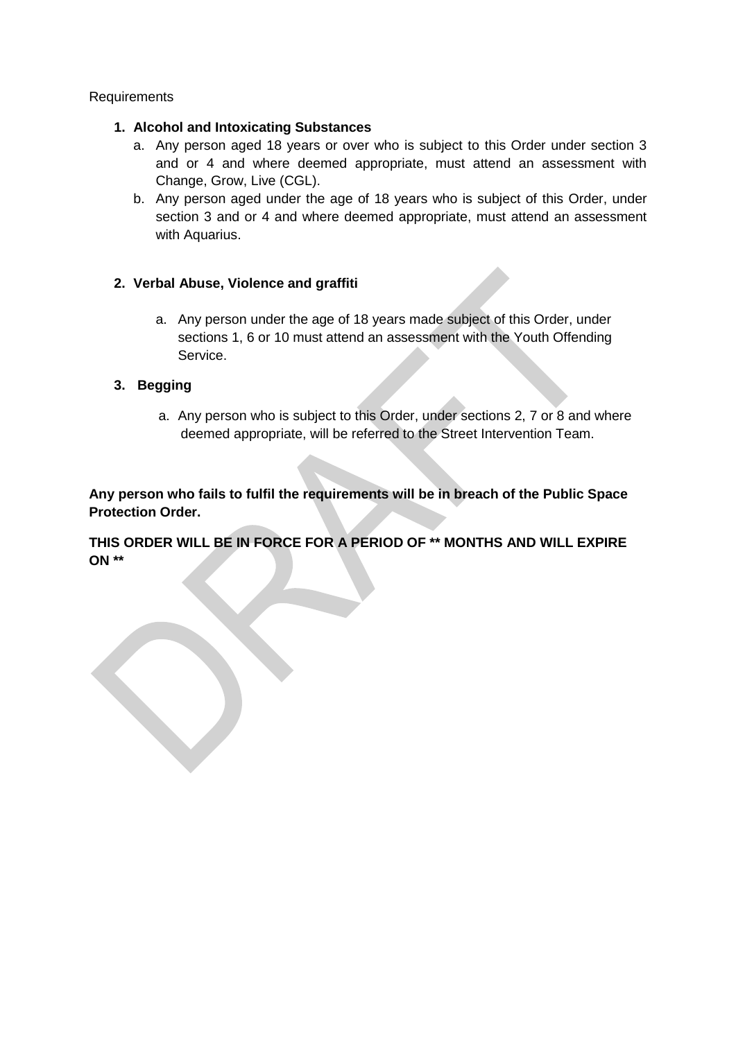#### Requirements

#### **1. Alcohol and Intoxicating Substances**

- a. Any person aged 18 years or over who is subject to this Order under section 3 and or 4 and where deemed appropriate, must attend an assessment with Change, Grow, Live (CGL).
- b. Any person aged under the age of 18 years who is subject of this Order, under section 3 and or 4 and where deemed appropriate, must attend an assessment with Aquarius.

## **2. Verbal Abuse, Violence and graffiti**

a. Any person under the age of 18 years made subject of this Order, under sections 1, 6 or 10 must attend an assessment with the Youth Offending Service.

## **3. Begging**

a. Any person who is subject to this Order, under sections 2, 7 or 8 and where deemed appropriate, will be referred to the Street Intervention Team.

**Any person who fails to fulfil the requirements will be in breach of the Public Space Protection Order.**

**THIS ORDER WILL BE IN FORCE FOR A PERIOD OF \*\* MONTHS AND WILL EXPIRE ON \*\***